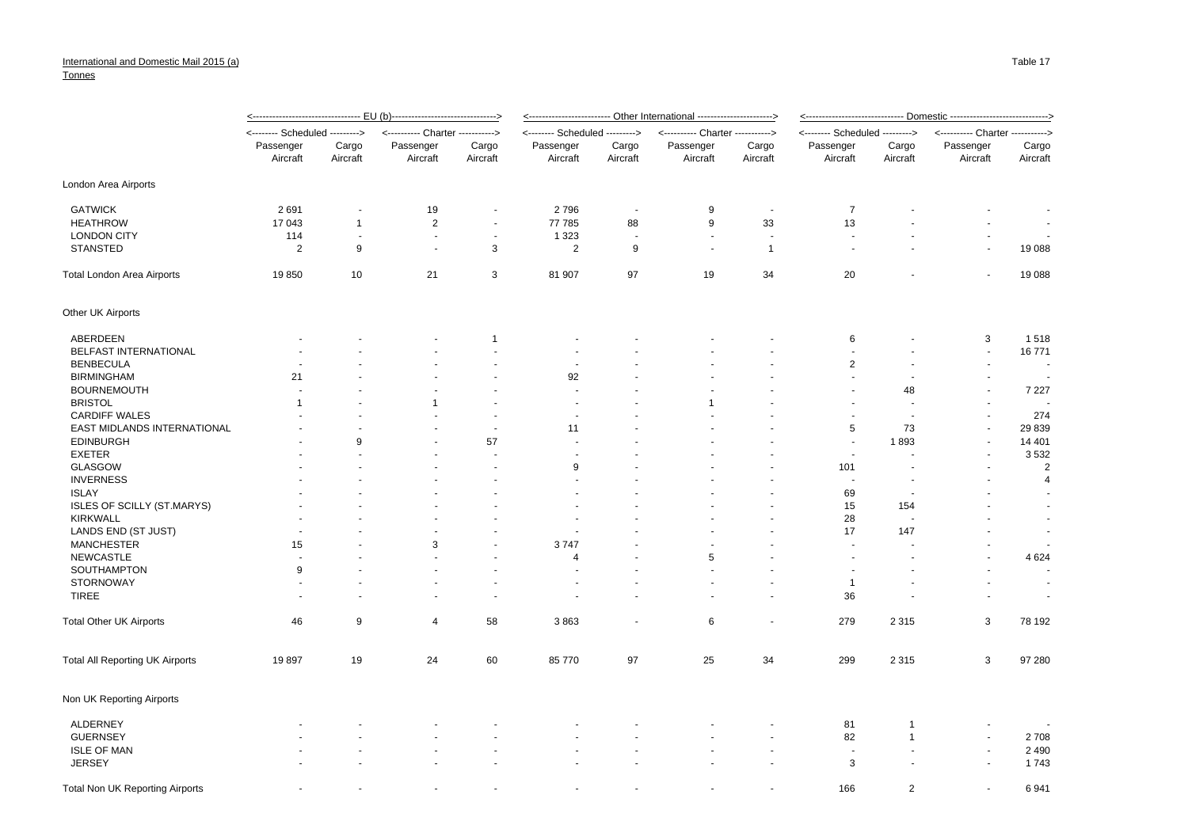## Tonnes

|                                 |                                |                   |                                    |                      | <u>&lt;------------------------ Other International ----------------------&gt;</u> |                      |                                           |                          | <u>&lt;------------------------------ Domestic -----------------------------&gt;</u> |                   |                                   |                          |
|---------------------------------|--------------------------------|-------------------|------------------------------------|----------------------|------------------------------------------------------------------------------------|----------------------|-------------------------------------------|--------------------------|--------------------------------------------------------------------------------------|-------------------|-----------------------------------|--------------------------|
|                                 | <-------- Scheduled ---------> |                   | -- Charter -----------><br><------ |                      | Scheduled ---------><br>-----                                                      |                      | ---- Charter -----------><br>$\leftarrow$ |                          | <-------- Scheduled --------->                                                       |                   | <---------- Charter --<br>------> |                          |
|                                 | Passenger<br>Aircraft          | Cargo<br>Aircraft | Passenger<br>Aircraft              | Cargo<br>Aircraft    | Passenger<br>Aircraft                                                              | Cargo<br>Aircraft    | Passenger<br>Aircraft                     | Cargo<br>Aircraft        | Passenger<br>Aircraft                                                                | Cargo<br>Aircraft | Passenger<br>Aircraft             | Cargo<br>Aircraft        |
| London Area Airports            |                                |                   |                                    |                      |                                                                                    |                      |                                           |                          |                                                                                      |                   |                                   |                          |
| <b>GATWICK</b>                  | 2691                           | ä,                | 19                                 | $\blacksquare$       | 2796                                                                               | ÷,                   | 9                                         |                          | $\overline{7}$                                                                       |                   |                                   |                          |
| <b>HEATHROW</b>                 | 17 043                         | $\mathbf 1$       | $\overline{\mathbf{c}}$            | $\blacksquare$       | 77 785                                                                             | 88                   | 9                                         | 33                       | 13                                                                                   |                   |                                   |                          |
| <b>LONDON CITY</b>              | 114                            | $\blacksquare$    | $\overline{\phantom{a}}$           | $\blacksquare$       | 1 3 2 3                                                                            | $\ddot{\phantom{0}}$ | $\blacksquare$                            | $\overline{\phantom{a}}$ | $\sim$                                                                               |                   | $\sim$                            |                          |
| <b>STANSTED</b>                 | $\overline{2}$                 | 9                 | $\sim$                             | 3                    | $\overline{c}$                                                                     | 9                    | $\sim$                                    | $\mathbf{1}$             | ä,                                                                                   |                   | ÷,                                | 19 088                   |
| Total London Area Airports      | 19850                          | 10                | 21                                 | 3                    | 81 907                                                                             | 97                   | 19                                        | 34                       | 20                                                                                   |                   | $\overline{a}$                    | 19 088                   |
| Other UK Airports               |                                |                   |                                    |                      |                                                                                    |                      |                                           |                          |                                                                                      |                   |                                   |                          |
| ABERDEEN                        |                                |                   |                                    | 1                    |                                                                                    |                      |                                           |                          | 6                                                                                    |                   | 3                                 | 1518                     |
| BELFAST INTERNATIONAL           |                                |                   |                                    |                      |                                                                                    |                      |                                           |                          | $\overline{\phantom{a}}$                                                             |                   | $\sim$                            | 16771                    |
| <b>BENBECULA</b>                |                                |                   |                                    |                      | $\overline{\phantom{a}}$                                                           |                      |                                           |                          | $\overline{2}$                                                                       |                   | $\overline{a}$                    | $\overline{\phantom{a}}$ |
| <b>BIRMINGHAM</b>               | 21                             |                   |                                    |                      | 92                                                                                 |                      |                                           |                          | $\overline{a}$                                                                       |                   |                                   |                          |
| <b>BOURNEMOUTH</b>              |                                |                   |                                    |                      |                                                                                    |                      |                                           |                          | ٠                                                                                    | 48                | $\overline{\phantom{a}}$          | 7 2 2 7                  |
| <b>BRISTOL</b>                  |                                |                   |                                    |                      |                                                                                    |                      |                                           |                          |                                                                                      |                   |                                   |                          |
| <b>CARDIFF WALES</b>            |                                |                   |                                    | $\blacksquare$       |                                                                                    |                      |                                           |                          | $\overline{\phantom{a}}$                                                             |                   | $\sim$                            | 274                      |
| EAST MIDLANDS INTERNATIONAL     |                                |                   |                                    | ÷,                   | 11                                                                                 |                      |                                           |                          | $\sqrt{5}$                                                                           | 73                | ÷,                                | 29 839                   |
| <b>EDINBURGH</b>                |                                | 9                 |                                    | 57                   |                                                                                    |                      |                                           |                          | $\sim$                                                                               | 1893              | ÷,                                | 14 401                   |
| <b>EXETER</b>                   |                                |                   |                                    | ÷.                   |                                                                                    |                      |                                           |                          | $\sim$                                                                               |                   |                                   | 3532                     |
| <b>GLASGOW</b>                  |                                |                   |                                    |                      | 9                                                                                  |                      |                                           |                          | 101                                                                                  |                   |                                   | $\overline{2}$           |
| <b>INVERNESS</b>                |                                |                   |                                    |                      |                                                                                    |                      |                                           |                          |                                                                                      |                   |                                   | $\overline{4}$           |
| <b>ISLAY</b>                    |                                |                   |                                    |                      |                                                                                    |                      |                                           |                          | 69                                                                                   |                   |                                   |                          |
| ISLES OF SCILLY (ST.MARYS)      |                                |                   |                                    |                      |                                                                                    |                      |                                           |                          | 15                                                                                   | 154               |                                   |                          |
| <b>KIRKWALL</b>                 |                                |                   |                                    |                      |                                                                                    |                      |                                           |                          | 28                                                                                   |                   |                                   |                          |
| LANDS END (ST JUST)             |                                |                   |                                    |                      |                                                                                    |                      |                                           |                          | 17                                                                                   | 147               |                                   |                          |
| <b>MANCHESTER</b>               | 15                             |                   | 3                                  |                      | 3747                                                                               |                      |                                           |                          |                                                                                      |                   |                                   |                          |
| <b>NEWCASTLE</b>                |                                |                   |                                    |                      | $\overline{4}$                                                                     |                      | 5                                         |                          | $\ddot{\phantom{1}}$                                                                 |                   |                                   | 4 6 24                   |
| SOUTHAMPTON                     | 9                              |                   |                                    |                      |                                                                                    |                      |                                           |                          |                                                                                      |                   |                                   | $\sim$                   |
| <b>STORNOWAY</b>                | $\sim$                         |                   |                                    | $\ddot{\phantom{1}}$ |                                                                                    |                      |                                           |                          | $\mathbf{1}$                                                                         |                   |                                   | $\overline{\phantom{a}}$ |
| <b>TIREE</b>                    |                                |                   |                                    | $\blacksquare$       |                                                                                    |                      |                                           |                          | 36                                                                                   |                   |                                   | $\overline{\phantom{a}}$ |
| <b>Total Other UK Airports</b>  | 46                             | 9                 | 4                                  | 58                   | 3863                                                                               |                      | 6                                         |                          | 279                                                                                  | 2 3 1 5           | 3                                 | 78 192                   |
| Total All Reporting UK Airports | 19897                          | 19                | 24                                 | 60                   | 85 770                                                                             | 97                   | 25                                        | 34                       | 299                                                                                  | 2 3 1 5           | 3                                 | 97 280                   |
| Non UK Reporting Airports       |                                |                   |                                    |                      |                                                                                    |                      |                                           |                          |                                                                                      |                   |                                   |                          |
| <b>ALDERNEY</b>                 |                                |                   |                                    |                      |                                                                                    |                      |                                           |                          | 81                                                                                   | -1                |                                   |                          |
| <b>GUERNSEY</b>                 |                                |                   |                                    |                      |                                                                                    |                      |                                           |                          | 82                                                                                   | $\overline{1}$    |                                   | 2708                     |
| <b>ISLE OF MAN</b>              |                                |                   |                                    |                      |                                                                                    |                      |                                           |                          | $\sim$                                                                               |                   |                                   | 2 4 9 0                  |
| <b>JERSEY</b>                   |                                |                   |                                    |                      |                                                                                    |                      |                                           |                          | 3                                                                                    |                   | $\overline{a}$                    | 1743                     |

Total Non UK Reporting Airports **166** 1941 - 16941 16941 16941 16941 16941 16941 16941 16941 16941 16941 16941 169